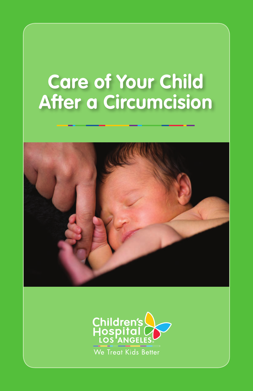# **Care of Your Child After a Circumcision**



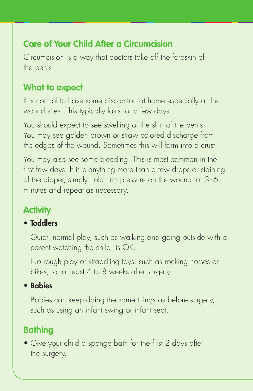## **Care of Your Child After a Circumcision**

Circumcision is a way that doctors take off the foreskin of the penis.

## **What to expect**

It is normal to have some discomfort at home especially at the wound sites. This typically lasts for a few days.

You should expect to see swelling of the skin of the penis. You may see golden brown or straw colored discharge from the edges of the wound. Sometimes this will form into a crust.

You may also see some bleeding. This is most common in the first few days. If it is anything more than a few drops or staining of the diaper, simply hold firm pressure on the wound for 3–6 minutes and repeat as necessary.

# **Activity**

#### • Toddlers

 Quiet, normal play, such as walking and going outside with a parent watching the child, is OK.

 No rough play or straddling toys, such as rocking horses or bikes, for at least 4 to 8 weeks after surgery.

#### • Babies

 Babies can keep doing the same things as before surgery, such as using an infant swing or infant seat.

## **Bathing**

• Give your child a sponge bath for the first 2 days after the surgery.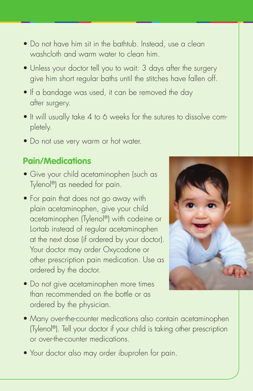- Do not have him sit in the bathtub. Instead, use a clean washcloth and warm water to clean him.
- Unless your doctor tell you to wait: 3 days after the surgery give him short regular baths until the stitches have fallen off.
- If a bandage was used, it can be removed the day after surgery.
- It will usually take 4 to 6 weeks for the sutures to dissolve completely.
- Do not use very warm or hot water.

#### **Pain/Medications**

- Give your child acetaminophen (such as Tylenol®) as needed for pain.
- For pain that does not go away with plain acetaminophen, give your child acetaminophen (Tylenol®) with codeine or Lortab instead of regular acetaminophen at the next dose (if ordered by your doctor). Your doctor may order Oxycodone or other prescription pain medication. Use as ordered by the doctor.
- Do not give acetaminophen more times than recommended on the bottle or as ordered by the physician.



- Many over-the-counter medications also contain acetaminophen (Tylenol®). Tell your doctor if your child is taking other prescription or over-the-counter medications.
- Your doctor also may order ibuprofen for pain.